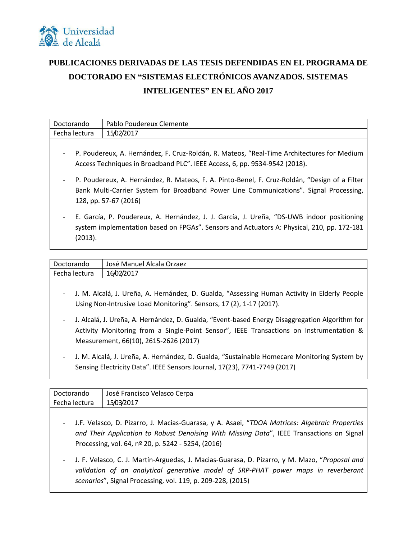

## **PUBLICACIONES DERIVADAS DE LAS TESIS DEFENDIDAS EN EL PROGRAMA DE DOCTORADO EN "SISTEMAS ELECTRÓNICOS AVANZADOS. SISTEMAS INTELIGENTES" EN EL AÑO 2017**

| Doctorando    | Pablo Poudereux Clemente |
|---------------|--------------------------|
| Fecha lectura | 15/02/2017               |
|               |                          |

- P. Poudereux, A. Hernández, F. Cruz-Roldán, R. Mateos, "Real-Time Architectures for Medium Access Techniques in Broadband PLC". IEEE Access, 6, pp. 9534-9542 (2018).
- P. Poudereux, A. Hernández, R. Mateos, F. A. Pinto-Benel, F. Cruz-Roldán, "Design of a Filter Bank Multi-Carrier System for Broadband Power Line Communications". Signal Processing, 128, pp. 57-67 (2016)
- E. García, P. Poudereux, A. Hernández, J. J. García, J. Ureña, "DS-UWB indoor positioning system implementation based on FPGAs". Sensors and Actuators A: Physical, 210, pp. 172-181 (2013).

| Doctorando    | José Manuel Alcala Orzaez |
|---------------|---------------------------|
| Fecha lectura | 16/02/2017                |

- J. M. Alcalá, J. Ureña, A. Hernández, D. Gualda, "Assessing Human Activity in Elderly People Using Non-Intrusive Load Monitoring". Sensors, 17 (2), 1-17 (2017).
- J. Alcalá, J. Ureña, A. Hernández, D. Gualda, "Event-based Energy Disaggregation Algorithm for Activity Monitoring from a Single-Point Sensor", IEEE Transactions on Instrumentation & Measurement, 66(10), 2615-2626 (2017)
- J. M. Alcalá, J. Ureña, A. Hernández, D. Gualda, "Sustainable Homecare Monitoring System by Sensing Electricity Data". IEEE Sensors Journal, 17(23), 7741-7749 (2017)

| Doctorando    | José Francisco Velasco Cerpa |
|---------------|------------------------------|
| Fecha lectura | 15/03/2017                   |
|               |                              |

- J.F. Velasco, D. Pizarro, J. Macias-Guarasa, y A. Asaei, "*TDOA Matrices: Algebraic Properties and Their Application to Robust Denoising With Missing Data*", IEEE Transactions on Signal Processing, vol. 64, nº 20, p. 5242 - 5254, (2016)
- J. F. Velasco, C. J. Martín-Arguedas, J. Macias-Guarasa, D. Pizarro, y M. Mazo, "*Proposal and validation of an analytical generative model of SRP-PHAT power maps in reverberant scenarios*", Signal Processing, vol. 119, p. 209-228, (2015)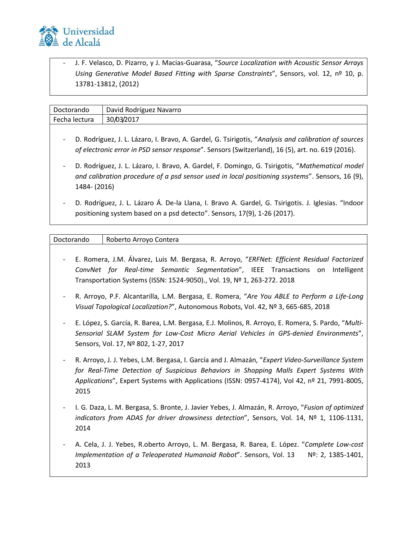

- J. F. Velasco, D. Pizarro, y J. Macias-Guarasa, "*Source Localization with Acoustic Sensor Arrays Using Generative Model Based Fitting with Sparse Constraints*", Sensors, vol. 12, nº 10, p. 13781-13812, (2012)

| Doctorando                                                                                                                                                                                                                           | David Rodríguez Navarro                                                                                                                                                                                            |  |
|--------------------------------------------------------------------------------------------------------------------------------------------------------------------------------------------------------------------------------------|--------------------------------------------------------------------------------------------------------------------------------------------------------------------------------------------------------------------|--|
| Fecha lectura                                                                                                                                                                                                                        | 30/03/2017                                                                                                                                                                                                         |  |
| D. Rodríguez, J. L. Lázaro, I. Bravo, A. Gardel, G. Tsirigotis, "Analysis and calibration of sources<br>$\overline{\phantom{a}}$<br>of electronic error in PSD sensor response". Sensors (Switzerland), 16 (5), art. no. 619 (2016). |                                                                                                                                                                                                                    |  |
| $\overline{\phantom{a}}$                                                                                                                                                                                                             | D. Rodríguez, J. L. Lázaro, I. Bravo, A. Gardel, F. Domingo, G. Tsirigotis, "Mathematical model<br>and calibration procedure of a psd sensor used in local positioning ssystems". Sensors, 16 (9),<br>1484- (2016) |  |
| $\overline{\phantom{a}}$                                                                                                                                                                                                             | D. Rodríguez, J. L. Lázaro Á. De-la Llana, I. Bravo A. Gardel, G. Tsirigotis. J. Iglesias. "Indoor<br>positioning system based on a psd detecto". Sensors, 17(9), 1-26 (2017).                                     |  |

| Doctorando               | Roberto Arroyo Contera                                                                                                                                                                                                                                   |
|--------------------------|----------------------------------------------------------------------------------------------------------------------------------------------------------------------------------------------------------------------------------------------------------|
|                          | E. Romera, J.M. Álvarez, Luis M. Bergasa, R. Arroyo, "ERFNet: Efficient Residual Factorized<br>ConvNet for Real-time Semantic Segmentation", IEEE Transactions on Intelligent<br>Transportation Systems (ISSN: 1524-9050)., Vol. 19, Nº 1, 263-272. 2018 |
|                          | R. Arroyo, P.F. Alcantarilla, L.M. Bergasa, E. Romera, "Are You ABLE to Perform a Life-Long<br>Visual Topological Localization?", Autonomous Robots, Vol. 42, Nº 3, 665-685, 2018                                                                        |
| $\overline{\phantom{a}}$ | E. López, S. García, R. Barea, L.M. Bergasa, E.J. Molinos, R. Arroyo, E. Romera, S. Pardo, "Multi-<br>Sensorial SLAM System for Low-Cost Micro Aerial Vehicles in GPS-denied Environments",<br>Sensors, Vol. 17, Nº 802, 1-27, 2017                      |
|                          | R. Arroyo, J. J. Yebes, L.M. Bergasa, I. García and J. Almazán, "Expert Video-Surveillance System<br>for Real Time, Detection of Cuspicious Repayiers in Shapping Malls Event Systems With                                                               |

- *for Real-Time Detection of Suspicious Behaviors in Shopping Malls Expert Systems With Applications*", Expert Systems with Applications (ISSN: 0957-4174), Vol 42, nº 21, 7991-8005, 2015
- I. G. Daza, L. M. Bergasa, S. Bronte, J. Javier Yebes, J. Almazán, R. Arroyo, "*Fusion of optimized indicators from ADAS for driver drowsiness detection*", Sensors, Vol. 14, Nº 1, 1106-1131, 2014
- A. Cela, J. J. Yebes, R.oberto Arroyo, L. M. Bergasa, R. Barea, E. López. "*Complete Low-cost Implementation of a Teleoperated Humanoid Robot"*. Sensors, Vol. 13 Nº: 2, 1385-1401, 2013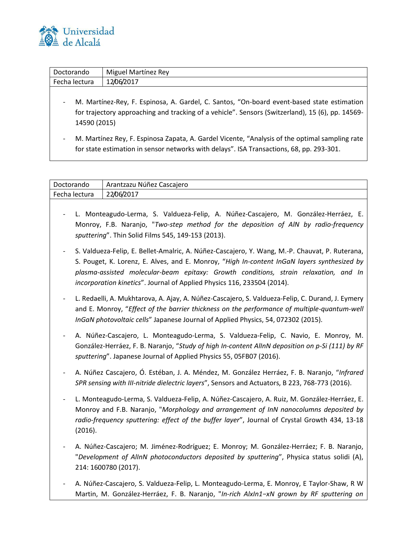

| Doctorando             | Miguel Martínez Rey                                                                                                                                                                            |
|------------------------|------------------------------------------------------------------------------------------------------------------------------------------------------------------------------------------------|
| Fecha lectura          | 12/06/2017                                                                                                                                                                                     |
| $\sim$<br>14590 (2015) | M. Martínez-Rey, F. Espinosa, A. Gardel, C. Santos, "On-board event-based state estimation<br>for trajectory approaching and tracking of a vehicle". Sensors (Switzerland), 15 (6), pp. 14569- |
| -                      | M. Martínez Rey, F. Espinosa Zapata, A. Gardel Vicente, "Analysis of the optimal sampling rate                                                                                                 |
|                        | for state estimation in sensor networks with delays". ISA Transactions, 68, pp. 293-301.                                                                                                       |

| Doctorando    | - Arantzazu Nuñez Cascajero |
|---------------|-----------------------------|
| Fecha lectura | 22/06/2017                  |

- L. Monteagudo-Lerma, S. Valdueza-Felip, A. Núñez-Cascajero, M. González-Herráez, E. Monroy, F.B. Naranjo, "*Two-step method for the deposition of AlN by radio-frequency sputtering*". Thin Solid Films 545, 149-153 (2013).
- S. Valdueza-Felip, E. Bellet-Amalric, A. Núñez-Cascajero, Y. Wang, M.-P. Chauvat, P. Ruterana, S. Pouget, K. Lorenz, E. Alves, and E. Monroy, "*High In-content InGaN layers synthesized by plasma-assisted molecular-beam epitaxy: Growth conditions, strain relaxation, and In incorporation kinetics*". Journal of Applied Physics 116, 233504 (2014).
- L. Redaelli, A. Mukhtarova, A. Ajay, A. Núñez-Cascajero, S. Valdueza-Felip, C. Durand, J. Eymery and E. Monroy, "*Effect of the barrier thickness on the performance of multiple-quantum-well InGaN photovoltaic cells*" Japanese Journal of Applied Physics, 54, 072302 (2015).
- A. Núñez-Cascajero, L. Monteagudo-Lerma, S. Valdueza-Felip, C. Navio, E. Monroy, M. González-Herráez, F. B. Naranjo, "*Study of high In-content AlInN deposition on p-Si (111) by RF sputtering*". Japanese Journal of Applied Physics 55, 05FB07 (2016).
- A. Núñez Cascajero, Ó. Estéban, J. A. Méndez, M. González Herráez, F. B. Naranjo, "*Infrared SPR sensing with III-nitride dielectric layers*", Sensors and Actuators, B 223, 768-773 (2016).
- L. Monteagudo-Lerma, S. Valdueza-Felip, A. Núñez-Cascajero, A. Ruiz, M. González-Herráez, E. Monroy and F.B. Naranjo, "*Morphology and arrangement of InN nanocolumns deposited by radio-frequency sputtering: effect of the buffer layer*", Journal of Crystal Growth 434, 13-18 (2016).
- A. Núñez-Cascajero; M. Jiménez-Rodríguez; E. Monroy; M. González-Herráez; F. B. Naranjo, "*Development of AlInN photoconductors deposited by sputtering*", Physica status solidi (A), 214: 1600780 (2017).
- A. Núñez-Cascajero, S. Valdueza-Felip, L. Monteagudo-Lerma, E. Monroy, E Taylor-Shaw, R W Martin, M. González-Herráez, F. B. Naranjo, "*In-rich AlxIn1−xN grown by RF sputtering on*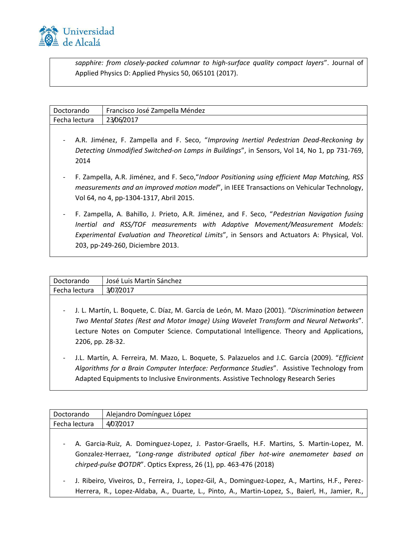

*sapphire: from closely-packed columnar to high-surface quality compact layers*". Journal of Applied Physics D: Applied Physics 50, 065101 (2017).

| Doctorando               | Francisco José Zampella Méndez                                                                                                                                                                                                                                                                                  |
|--------------------------|-----------------------------------------------------------------------------------------------------------------------------------------------------------------------------------------------------------------------------------------------------------------------------------------------------------------|
| Fecha lectura            | 23/06/2017                                                                                                                                                                                                                                                                                                      |
| -<br>2014                | A.R. Jiménez, F. Zampella and F. Seco, "Improving Inertial Pedestrian Dead-Reckoning by<br>Detecting Unmodified Switched-on Lamps in Buildings", in Sensors, Vol 14, No 1, pp 731-769,                                                                                                                          |
| $\overline{\phantom{a}}$ | F. Zampella, A.R. Jiménez, and F. Seco, "Indoor Positioning using efficient Map Matching, RSS<br>measurements and an improved motion model", in IEEE Transactions on Vehicular Technology,<br>Vol 64, no 4, pp-1304-1317, Abril 2015.                                                                           |
| $\overline{\phantom{0}}$ | F. Zampella, A. Bahillo, J. Prieto, A.R. Jiménez, and F. Seco, "Pedestrian Navigation fusing<br>Inertial and RSS/TOF measurements with Adaptive Movement/Measurement Models:<br>Experimental Evaluation and Theoretical Limits", in Sensors and Actuators A: Physical, Vol.<br>203, pp-249-260, Diciembre 2013. |

| 3/07/2017<br>Fecha lectura |  |
|----------------------------|--|

- J. L. Martín, L. Boquete, C. Díaz, M. García de León, M. Mazo (2001). "*Discrimination between Two Mental States (Rest and Motor Image) Using Wavelet Transform and Neural Networks*". Lecture Notes on Computer Science. Computational Intelligence. Theory and Applications, 2206, pp. 28-32.
- J.L. Martín, A. Ferreira, M. Mazo, L. Boquete, S. Palazuelos and J.C. García (2009). "*Efficient Algorithms for a Brain Computer Interface: Performance Studies*". Assistive Technology from Adapted Equipments to Inclusive Environments. Assistive Technology Research Series

| Doctorando               | Alejandro Domínguez López                                                                                                                                                                                                                            |
|--------------------------|------------------------------------------------------------------------------------------------------------------------------------------------------------------------------------------------------------------------------------------------------|
| Fecha lectura            | 4/07/2017                                                                                                                                                                                                                                            |
| $\overline{\phantom{a}}$ | A. Garcia-Ruiz, A. Dominguez-Lopez, J. Pastor-Graells, H.F. Martins, S. Martin-Lopez, M.<br>Gonzalez-Herraez, "Long-range distributed optical fiber hot-wire anemometer based on<br>chirped-pulse @OTDR". Optics Express, 26 (1), pp. 463-476 (2018) |
| $\overline{\phantom{a}}$ | J. Ribeiro, Viveiros, D., Ferreira, J., Lopez-Gil, A., Dominguez-Lopez, A., Martins, H.F., Perez-<br>Herrera, R., Lopez-Aldaba, A., Duarte, L., Pinto, A., Martin-Lopez, S., Baierl, H., Jamier, R.,                                                 |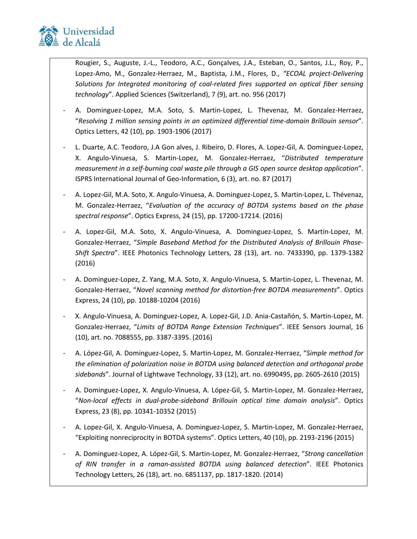

Rougier, S., Auguste, J.-L., Teodoro, A.C., Gonçalves, J.A., Esteban, O., Santos, J.L., Roy, P., Lopez-Amo, M., Gonzalez-Herraez, M., Baptista, J.M., Flores, D., *"ECOAL project-Delivering Solutions for Integrated monitoring of coal-related fires supported on optical fiber sensing technology*". Applied Sciences (Switzerland), 7 (9), art. no. 956 (2017)

- A. Dominguez-Lopez, M.A. Soto, S. Martin-Lopez, L. Thevenaz, M. Gonzalez-Herraez, "*Resolving 1 million sensing points in an optimized differential time-domain Brillouin sensor*". Optics Letters, 42 (10), pp. 1903-1906 (2017)
- L. Duarte, A.C. Teodoro, J.A Gon alves, J. Ribeiro, D. Flores, A. Lopez-Gil, A. Dominguez-Lopez, X. Angulo-Vinuesa, S. Martin-Lopez, M. Gonzalez-Herraez, "*Distributed temperature measurement in a self-burning coal waste pile through a GIS open source desktop application*". ISPRS International Journal of Geo-Information, 6 (3), art. no. 87 (2017)
- A. Lopez-Gil, M.A. Soto, X. Angulo-Vinuesa, A. Dominguez-Lopez, S. Martin-Lopez, L. Thévenaz, M. Gonzalez-Herraez, "*Evaluation of the accuracy of BOTDA systems based on the phase spectral response*". Optics Express, 24 (15), pp. 17200-17214. (2016)
- A. Lopez-Gil, M.A. Soto, X. Angulo-Vinuesa, A. Dominguez-Lopez, S. Martin-Lopez, M. Gonzalez-Herraez, "*Simple Baseband Method for the Distributed Analysis of Brillouin Phase-Shift Spectra*". IEEE Photonics Technology Letters, 28 (13), art. no. 7433390, pp. 1379-1382 (2016)
- A. Dominguez-Lopez, Z. Yang, M.A. Soto, X. Angulo-Vinuesa, S. Martin-Lopez, L. Thevenaz, M. Gonzalez-Herraez, "*Novel scanning method for distortion-free BOTDA measurements*". Optics Express, 24 (10), pp. 10188-10204 (2016)
- X. Angulo-Vinuesa, A. Dominguez-Lopez, A. Lopez-Gil, J.D. Ania-Castañón, S. Martin-Lopez, M. Gonzalez-Herraez, "*Limits of BOTDA Range Extension Techniques*". IEEE Sensors Journal, 16 (10), art. no. 7088555, pp. 3387-3395. (2016)
- A. López-Gil, A. Dominguez-Lopez, S. Martin-Lopez, M. Gonzalez-Herraez, "*Simple method for the elimination of polarization noise in BOTDA using balanced detection and orthogonal probe sidebands*". Journal of Lightwave Technology, 33 (12), art. no. 6990495, pp. 2605-2610 (2015)
- A. Dominguez-Lopez, X. Angulo-Vinuesa, A. López-Gil, S. Martin-Lopez, M. Gonzalez-Herraez, "*Non-local effects in dual-probe-sideband Brillouin optical time domain analysis*". Optics Express, 23 (8), pp. 10341-10352 (2015)
- A. Lopez-Gil, X. Angulo-Vinuesa, A. Dominguez-Lopez, S. Martin-Lopez, M. Gonzalez-Herraez, "Exploiting nonreciprocity in BOTDA systems". Optics Letters, 40 (10), pp. 2193-2196 (2015)
- A. Dominguez-Lopez, A. López-Gil, S. Martin-Lopez, M. Gonzalez-Herraez, "*Strong cancellation of RIN transfer in a raman-assisted BOTDA using balanced detection*". IEEE Photonics Technology Letters, 26 (18), art. no. 6851137, pp. 1817-1820. (2014)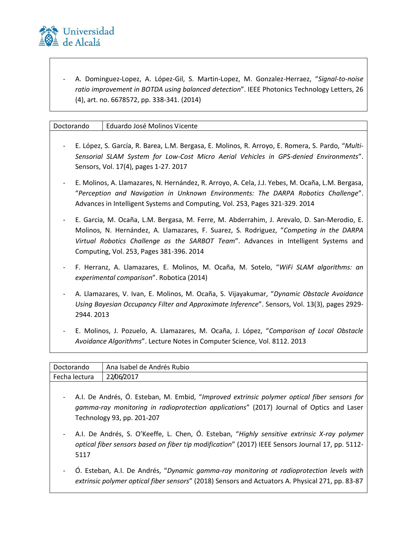

- A. Dominguez-Lopez, A. López-Gil, S. Martin-Lopez, M. Gonzalez-Herraez, "*Signal-to-noise ratio improvement in BOTDA using balanced detection*". IEEE Photonics Technology Letters, 26 (4), art. no. 6678572, pp. 338-341. (2014)

| Doctorando | Eduardo José Molinos Vicente                                                                                                                                                                                                                                                                                            |
|------------|-------------------------------------------------------------------------------------------------------------------------------------------------------------------------------------------------------------------------------------------------------------------------------------------------------------------------|
|            | E. López, S. García, R. Barea, L.M. Bergasa, E. Molinos, R. Arroyo, E. Romera, S. Pardo, "Multi-<br>Sensorial SLAM System for Low-Cost Micro Aerial Vehicles in GPS-denied Environments".<br>Sensors, Vol. 17(4), pages 1-27. 2017                                                                                      |
|            | E. Molinos, A. Llamazares, N. Hernández, R. Arroyo, A. Cela, J.J. Yebes, M. Ocaña, L.M. Bergasa,<br>"Perception and Navigation in Unknown Environments: The DARPA Robotics Challenge".<br>Advances in Intelligent Systems and Computing, Vol. 253, Pages 321-329. 2014                                                  |
|            | E. Garcia, M. Ocaña, L.M. Bergasa, M. Ferre, M. Abderrahim, J. Arevalo, D. San-Merodio, E.<br>Molinos, N. Hernández, A. Llamazares, F. Suarez, S. Rodriguez, "Competing in the DARPA<br>Virtual Robotics Challenge as the SARBOT Team". Advances in Intelligent Systems and<br>Computing, Vol. 253, Pages 381-396. 2014 |
|            | F. Herranz, A. Llamazares, E. Molinos, M. Ocaña, M. Sotelo, "WiFi SLAM algorithms: an<br>experimental comparison". Robotica (2014)                                                                                                                                                                                      |
| 2944.2013  | A. Llamazares, V. Ivan, E. Molinos, M. Ocaña, S. Vijayakumar, "Dynamic Obstacle Avoidance<br>Using Bayesian Occupancy Filter and Approximate Inference". Sensors, Vol. 13(3), pages 2929-                                                                                                                               |
|            | E. Molinos, J. Pozuelo, A. Llamazares, M. Ocaña, J. López, "Comparison of Local Obstacle<br>Avoidance Algorithms". Lecture Notes in Computer Science, Vol. 8112. 2013                                                                                                                                                   |

| Doctorando                       | Ana Isabel de Andrés Rubio                                                                                                                                                                                            |
|----------------------------------|-----------------------------------------------------------------------------------------------------------------------------------------------------------------------------------------------------------------------|
| Fecha lectura                    | 22/06/2017                                                                                                                                                                                                            |
| $\overline{\phantom{a}}$         | A.I. De Andrés, Ó. Esteban, M. Embid, "Improved extrinsic polymer optical fiber sensors for<br>gamma-ray monitoring in radioprotection applications" (2017) Journal of Optics and Laser<br>Technology 93, pp. 201-207 |
| $\overline{\phantom{a}}$<br>5117 | A.I. De Andrés, S. O'Keeffe, L. Chen, Ó. Esteban, "Highly sensitive extrinsic X-ray polymer<br>optical fiber sensors based on fiber tip modification" (2017) IEEE Sensors Journal 17, pp. 5112-                       |
| $\overline{\phantom{a}}$         | Ó. Esteban, A.I. De Andrés, "Dynamic gamma-ray monitoring at radioprotection levels with<br>extrinsic polymer optical fiber sensors" (2018) Sensors and Actuators A. Physical 271, pp. 83-87                          |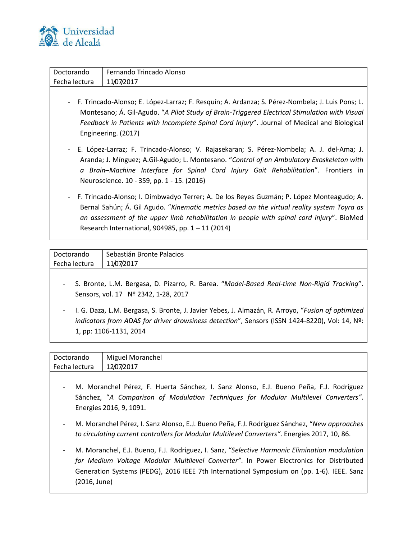

| Doctorando                                                                                                                                                                                                                                                                                                                                             | Fernando Trincado Alonso                                                                                                                                                                                                                                                                                                                      |
|--------------------------------------------------------------------------------------------------------------------------------------------------------------------------------------------------------------------------------------------------------------------------------------------------------------------------------------------------------|-----------------------------------------------------------------------------------------------------------------------------------------------------------------------------------------------------------------------------------------------------------------------------------------------------------------------------------------------|
| Fecha lectura                                                                                                                                                                                                                                                                                                                                          | 11/07/2017                                                                                                                                                                                                                                                                                                                                    |
| - F. Trincado-Alonso; E. López-Larraz; F. Resquín; A. Ardanza; S. Pérez-Nombela; J. Luis Pons; L.<br>Montesano; A. Gil-Agudo. "A Pilot Study of Brain-Triggered Electrical Stimulation with Visual<br>Feedback in Patients with Incomplete Spinal Cord Injury". Journal of Medical and Biological<br>Engineering. (2017)                               |                                                                                                                                                                                                                                                                                                                                               |
| E. López-Larraz; F. Trincado-Alonso; V. Rajasekaran; S. Pérez-Nombela; A. J. del-Ama; J.<br>$\overline{\phantom{a}}$<br>Aranda; J. Mínguez; A.Gil-Agudo; L. Montesano. "Control of an Ambulatory Exoskeleton with<br>a Brain-Machine Interface for Spinal Cord Injury Gait Rehabilitation". Frontiers in<br>Neuroscience. 10 - 359, pp. 1 - 15. (2016) |                                                                                                                                                                                                                                                                                                                                               |
|                                                                                                                                                                                                                                                                                                                                                        | - F. Trincado-Alonso; I. Dimbwadyo Terrer; A. De los Reyes Guzmán; P. López Monteagudo; A.<br>Bernal Sahún; Á. Gil Agudo. "Kinematic metrics based on the virtual reality system Toyra as<br>an assessment of the upper limb rehabilitation in people with spinal cord injury". BioMed<br>Research International, 904985, pp. $1 - 11$ (2014) |

| Doctorando    | Sebastián Bronte Palacios |
|---------------|---------------------------|
| Fecha lectura | 11/07/2017                |
|               |                           |

- S. Bronte, L.M. Bergasa, D. Pizarro, R. Barea. "*Model-Based Real-time Non-Rigid Tracking*". Sensors, vol. 17 Nº 2342, 1-28, 2017
- I. G. Daza, L.M. Bergasa, S. Bronte, J. Javier Yebes, J. Almazán, R. Arroyo, "*Fusion of optimized indicators from ADAS for driver drowsiness detection*", Sensors (ISSN 1424-8220), Vol: 14, Nº: 1, pp: 1106-1131, 2014

| Doctorando    | Miguel Moranchel |
|---------------|------------------|
| Fecha lectura | 12/07/2017       |
|               |                  |

- M. Moranchel Pérez, F. Huerta Sánchez, I. Sanz Alonso, E.J. Bueno Peña, F.J. Rodríguez Sánchez, "*A Comparison of Modulation Techniques for Modular Multilevel Converters"*. Energies 2016, 9, 1091.
- M. Moranchel Pérez, I. Sanz Alonso, E.J. Bueno Peña, F.J. Rodríguez Sánchez, "*New approaches to circulating current controllers for Modular Multilevel Converters"*. Energies 2017, 10, 86.
- M. Moranchel, E.J. Bueno, F.J. Rodriguez, I. Sanz, "*Selective Harmonic Elimination modulation for Medium Voltage Modular Multilevel Converter"*. In Power Electronics for Distributed Generation Systems (PEDG), 2016 IEEE 7th International Symposium on (pp. 1-6). IEEE. Sanz (2016, June)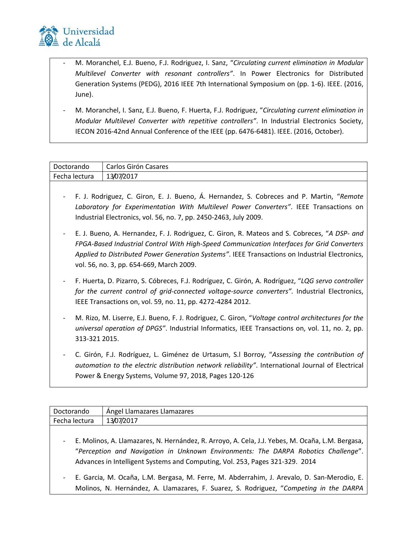

- M. Moranchel, E.J. Bueno, F.J. Rodriguez, I. Sanz, "*Circulating current elimination in Modular Multilevel Converter with resonant controllers"*. In Power Electronics for Distributed Generation Systems (PEDG), 2016 IEEE 7th International Symposium on (pp. 1-6). IEEE. (2016, June).
- M. Moranchel, I. Sanz, E.J. Bueno, F. Huerta, F.J. Rodriguez, "*Circulating current elimination in Modular Multilevel Converter with repetitive controllers"*. In Industrial Electronics Society, IECON 2016-42nd Annual Conference of the IEEE (pp. 6476-6481). IEEE. (2016, October).

| Doctorando    | Carlos Girón Casares |
|---------------|----------------------|
| Fecha lectura | 13/07/2017           |

- F. J. Rodriguez, C. Giron, E. J. Bueno, Á. Hernandez, S. Cobreces and P. Martin, "*Remote Laboratory for Experimentation With Multilevel Power Converters"*. IEEE Transactions on Industrial Electronics, vol. 56, no. 7, pp. 2450-2463, July 2009.
- E. J. Bueno, A. Hernandez, F. J. Rodriguez, C. Giron, R. Mateos and S. Cobreces, "*A DSP- and FPGA-Based Industrial Control With High-Speed Communication Interfaces for Grid Converters Applied to Distributed Power Generation Systems"*. IEEE Transactions on Industrial Electronics, vol. 56, no. 3, pp. 654-669, March 2009.
- F. Huerta, D. Pizarro, S. Cóbreces, F.J. Rodríguez, C. Girón, A. Rodríguez, "*LQG servo controller for the current control of grid-connected voltage-source converters".* Industrial Electronics, IEEE Transactions on, vol. 59, no. 11, pp. 4272-4284 2012.
- M. Rizo, M. Liserre, E.J. Bueno, F. J. Rodriguez, C. Giron, "*Voltage control architectures for the universal operation of DPGS"*. Industrial Informatics, IEEE Transactions on, vol. 11, no. 2, pp. 313-321 2015.
- C. Girón, F.J. Rodríguez, L. Giménez de Urtasum, S.l Borroy, "*Assessing the contribution of automation to the electric distribution network reliability"*. International Journal of Electrical Power & Energy Systems, Volume 97, 2018, Pages 120-126

| Doctorando               | Ángel Llamazares Llamazares                                                                                                                                                                                                                                            |
|--------------------------|------------------------------------------------------------------------------------------------------------------------------------------------------------------------------------------------------------------------------------------------------------------------|
| Fecha lectura            | 13/07/2017                                                                                                                                                                                                                                                             |
| $-$                      | E. Molinos, A. Llamazares, N. Hernández, R. Arroyo, A. Cela, J.J. Yebes, M. Ocaña, L.M. Bergasa,<br>"Perception and Navigation in Unknown Environments: The DARPA Robotics Challenge".<br>Advances in Intelligent Systems and Computing, Vol. 253, Pages 321-329. 2014 |
| $\overline{\phantom{a}}$ | E. Garcia, M. Ocaña, L.M. Bergasa, M. Ferre, M. Abderrahim, J. Arevalo, D. San-Merodio, E.<br>Molinos, N. Hernández, A. Llamazares, F. Suarez, S. Rodriguez, "Competing in the DARPA                                                                                   |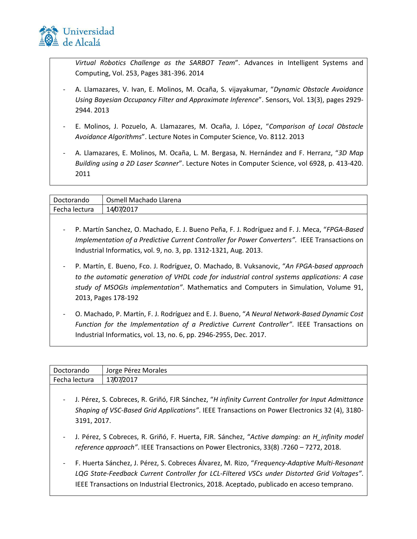

*Virtual Robotics Challenge as the SARBOT Team*". Advances in Intelligent Systems and Computing, Vol. 253, Pages 381-396. 2014

- A. Llamazares, V. Ivan, E. Molinos, M. Ocaña, S. vijayakumar, "*Dynamic Obstacle Avoidance Using Bayesian Occupancy Filter and Approximate Inference*". Sensors, Vol. 13(3), pages 2929- 2944. 2013
- E. Molinos, J. Pozuelo, A. Llamazares, M. Ocaña, J. López, "*Comparison of Local Obstacle Avoidance Algorithms*". Lecture Notes in Computer Science, Vo. 8112. 2013
- A. Llamazares, E. Molinos, M. Ocaña, L. M. Bergasa, N. Hernández and F. Herranz, "*3D Map Building using a 2D Laser Scanner*". Lecture Notes in Computer Science, vol 6928, p. 413-420. 2011

| Doctorando                   | Osmell Machado Llarena                                                                        |
|------------------------------|-----------------------------------------------------------------------------------------------|
| Fecha lectura                | 14/07/2017                                                                                    |
|                              |                                                                                               |
| $\overline{a}$               | P. Martín Sanchez, O. Machado, E. J. Bueno Peña, F. J. Rodríguez and F. J. Meca, "FPGA-Based  |
|                              | Implementation of a Predictive Current Controller for Power Converters". IEEE Transactions on |
|                              | Industrial Informatics, vol. 9, no. 3, pp. 1312-1321, Aug. 2013.                              |
|                              |                                                                                               |
|                              | P. Martín, E. Bueno, Fco. J. Rodríguez, O. Machado, B. Vuksanovic, "An FPGA-based approach    |
|                              | to the automatic generation of VHDL code for industrial control systems applications: A case  |
|                              | study of MSOGIs implementation". Mathematics and Computers in Simulation, Volume 91,          |
|                              | 2013, Pages 178-192                                                                           |
|                              |                                                                                               |
| $\qquad \qquad \blacksquare$ | O. Machado, P. Martín, F. J. Rodríguez and E. J. Bueno, "A Neural Network-Based Dynamic Cost  |
|                              | Function for the Implementation of a Predictive Current Controller". IEEE Transactions on     |

| Doctorando    | Jorge Pérez Morales |
|---------------|---------------------|
| Fecha lectura | 17/07/2017          |
|               |                     |

Industrial Informatics, vol. 13, no. 6, pp. 2946-2955, Dec. 2017.

- J. Pérez, S. Cobreces, R. Griñó, FJR Sánchez, "*H infinity Current Controller for Input Admittance Shaping of VSC-Based Grid Applications"*. IEEE Transactions on Power Electronics 32 (4), 3180- 3191, 2017.
- J. Pérez, S Cobreces, R. Griñó, F. Huerta, FJR. Sánchez, "*Active damping: an H\_infinity model reference approach"*. IEEE Transactions on Power Electronics, 33(8) .7260 – 7272, 2018.
- F. Huerta Sánchez, J. Pérez, S. Cobreces Álvarez, M. Rizo, "*Frequency-Adaptive Multi-Resonant LQG State-Feedback Current Controller for LCL-Filtered VSCs under Distorted Grid Voltages"*. IEEE Transactions on Industrial Electronics, 2018. Aceptado, publicado en acceso temprano.